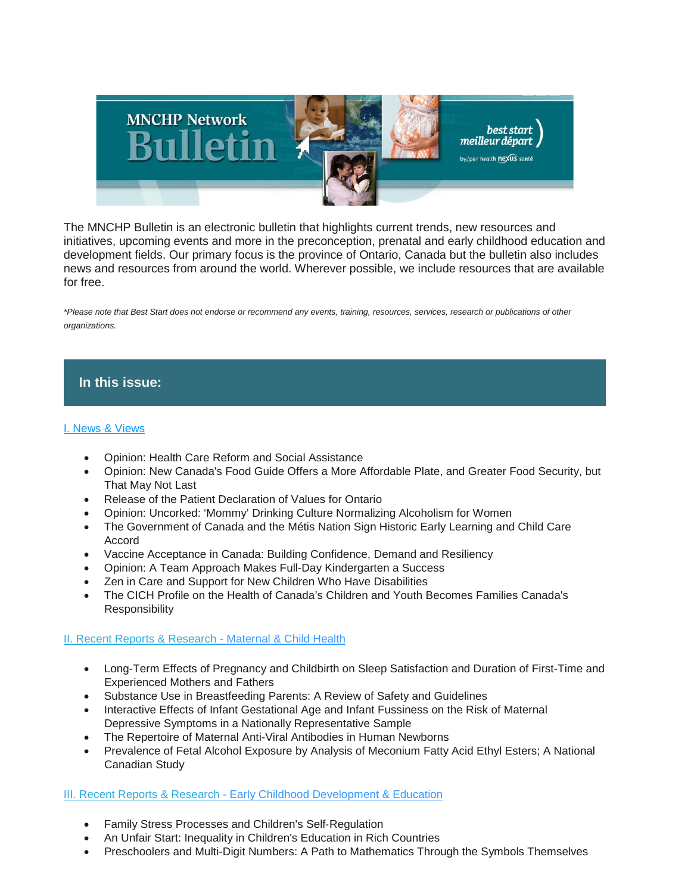

The MNCHP Bulletin is an electronic bulletin that highlights current trends, new resources and initiatives, upcoming events and more in the preconception, prenatal and early childhood education and development fields. Our primary focus is the province of Ontario, Canada but the bulletin also includes news and resources from around the world. Wherever possible, we include resources that are available for free.

*\*Please note that Best Start does not endorse or recommend any events, training, resources, services, research or publications of other organizations.*

# **In this issue:**

## [I. News & Views](https://us14.admin.mailchimp.com/templates/preview-template?id=173801#I.%20News%20&%20Views)

- Opinion: Health Care Reform and Social Assistance
- Opinion: New Canada's Food Guide Offers a More Affordable Plate, and Greater Food Security, but That May Not Last
- Release of the Patient Declaration of Values for Ontario
- Opinion: Uncorked: 'Mommy' Drinking Culture Normalizing Alcoholism for Women
- The Government of Canada and the Métis Nation Sign Historic Early Learning and Child Care Accord
- Vaccine Acceptance in Canada: Building Confidence, Demand and Resiliency
- Opinion: A Team Approach Makes Full-Day Kindergarten a Success
- Zen in Care and Support for New Children Who Have Disabilities
- The CICH Profile on the Health of Canada's Children and Youth Becomes Families Canada's Responsibility

## [II. Recent Reports & Research](https://us14.admin.mailchimp.com/templates/preview-template?id=173801#II.%20Recent%20Reports%20&%20Research%20-%20Maternal%20&%20Child%20Health) - Maternal & Child Health

- Long-Term Effects of Pregnancy and Childbirth on Sleep Satisfaction and Duration of First-Time and Experienced Mothers and Fathers
- Substance Use in Breastfeeding Parents: A Review of Safety and Guidelines
- Interactive Effects of Infant Gestational Age and Infant Fussiness on the Risk of Maternal Depressive Symptoms in a Nationally Representative Sample
- The Repertoire of Maternal Anti-Viral Antibodies in Human Newborns
- Prevalence of Fetal Alcohol Exposure by Analysis of Meconium Fatty Acid Ethyl Esters; A National Canadian Study

## [III. Recent Reports & Research](https://us14.admin.mailchimp.com/templates/preview-template?id=173801#III.%20Recent%20Reports%20&%20Research%20-%20Early%20Childhood%20Development%20and%20Education) - [Early Childhood Development & Education](https://us14.admin.mailchimp.com/templates/preview-template?id=173801#III.%20Recent%20Reports%20&%20Research%20-%20Early%20Childhood%20Development%20and%20Education)

- Family Stress Processes and Children's Self‐Regulation
- An Unfair Start: Inequality in Children's Education in Rich Countries
- Preschoolers and Multi-Digit Numbers: A Path to Mathematics Through the Symbols Themselves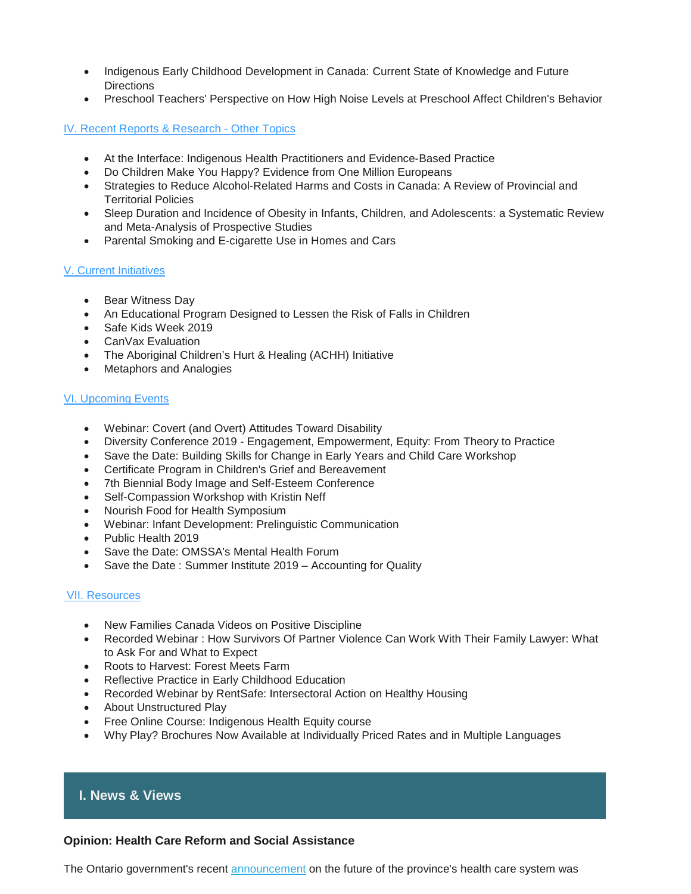- Indigenous Early Childhood Development in Canada: Current State of Knowledge and Future **Directions**
- Preschool Teachers' Perspective on How High Noise Levels at Preschool Affect Children's Behavior

[IV. Recent Reports & Research](https://us14.admin.mailchimp.com/templates/preview-template?id=173801#IV.%20Recent%20Reports%20&%20Research%20-%20Other%20Topics) - Other Topics

- At the Interface: Indigenous Health Practitioners and Evidence-Based Practice
- Do Children Make You Happy? Evidence from One Million Europeans
- Strategies to Reduce Alcohol-Related Harms and Costs in Canada: A Review of Provincial and Territorial Policies
- Sleep Duration and Incidence of Obesity in Infants, Children, and Adolescents: a Systematic Review and Meta-Analysis of Prospective Studies
- Parental Smoking and E-cigarette Use in Homes and Cars

## [V. Current Initiatives](https://us14.admin.mailchimp.com/templates/preview-template?id=173801#V.%20Current%20Initiatives)

- Bear Witness Day
- An Educational Program Designed to Lessen the Risk of Falls in Children
- Safe Kids Week 2019
- CanVax Evaluation
- The Aboriginal Children's Hurt & Healing (ACHH) Initiative
- Metaphors and Analogies

## [VI. Upcoming Events](https://us14.admin.mailchimp.com/templates/preview-template?id=173801#VI.%20Upcoming%20Events)

- Webinar: Covert (and Overt) Attitudes Toward Disability
- Diversity Conference 2019 Engagement, Empowerment, Equity: From Theory to Practice
- Save the Date: Building Skills for Change in Early Years and Child Care Workshop
- Certificate Program in Children's Grief and Bereavement
- 7th Biennial Body Image and Self-Esteem Conference
- Self-Compassion Workshop with Kristin Neff
- Nourish Food for Health Symposium
- Webinar: Infant Development: Prelinguistic Communication
- Public Health 2019
- Save the Date: OMSSA's Mental Health Forum
- Save the Date: Summer Institute 2019 Accounting for Quality

#### [VII. Resources](https://us14.admin.mailchimp.com/templates/preview-template?id=173801#VII.%20Resources)

- New Families Canada Videos on Positive Discipline
- Recorded Webinar : How Survivors Of Partner Violence Can Work With Their Family Lawyer: What to Ask For and What to Expect
- Roots to Harvest: Forest Meets Farm
- Reflective Practice in Early Childhood Education
- Recorded Webinar by RentSafe: Intersectoral Action on Healthy Housing
- About Unstructured Play
- Free Online Course: Indigenous Health Equity course
- Why Play? Brochures Now Available at Individually Priced Rates and in Multiple Languages

# **I. News & Views**

#### **Opinion: Health Care Reform and Social Assistance**

The Ontario government's recent [announcement](https://news.ontario.ca/mohltc/en/2019/02/ontarios-government-for-the-people-to-break-down-barriers-to-better-patient-care.html) on the future of the province's health care system was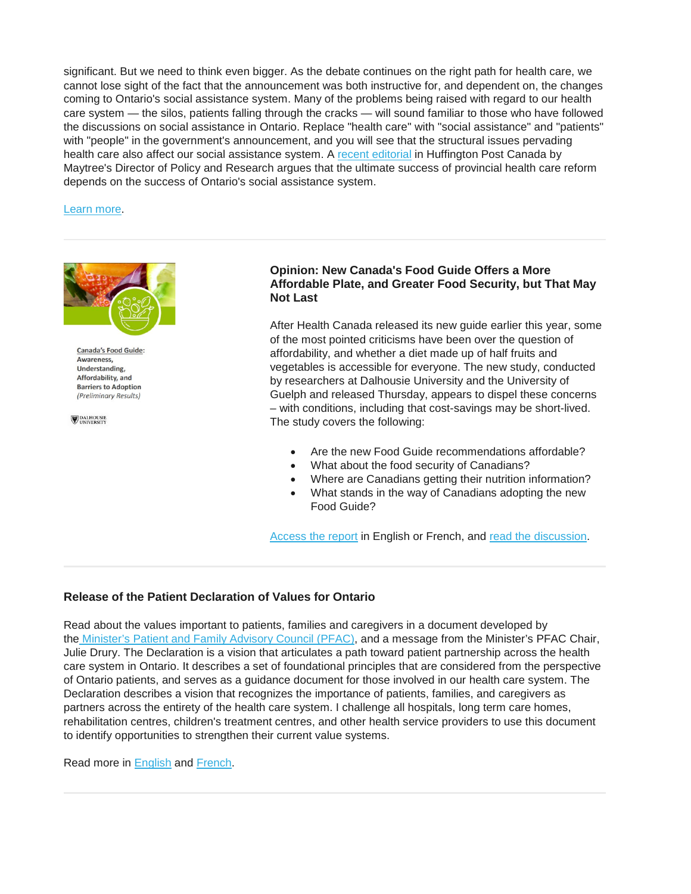significant. But we need to think even bigger. As the debate continues on the right path for health care, we cannot lose sight of the fact that the announcement was both instructive for, and dependent on, the changes coming to Ontario's social assistance system. Many of the problems being raised with regard to our health care system — the silos, patients falling through the cracks — will sound familiar to those who have followed the discussions on social assistance in Ontario. Replace "health care" with "social assistance" and "patients" with "people" in the government's announcement, and you will see that the structural issues pervading health care also affect our social assistance system. A [recent editorial](http://r20.rs6.net/tn.jsp?f=001snONDb_7-h2j6ZHePCp9SdEM7IrEz9pJbyGWvwkCXkG-MY6hkO7d2DDFqWhIwJT4qj_9QiCbQQEQA5Gk3pi6Y1hXxttaTRpiGmgnUGT8JWUj7BMGkiMVWxxLYAlpl2PLXNzwmXk0IMxh8GFiKt2UwB_7nfgElvf2Sc8GC2MJK_MdUCwk72-AMAeKYPFvKdkpMjsto3HBj_GqedYW9_G4NBKcjI9c2fyIdYC55M-0PoIqRFbhuMeMA6mkdUP3vnoDlIcGTuh4t72FO3e8UxtwsN6leWLw2d0qKULkMTf6jKgGhatM29hsWmaNaXMSwxHl&c=jEgvOgxyfDAmhn4hhz289-cHthwPhRx-0eH3wbCgbN8NIQlf7pzZhw==&ch=w0znl9okd1Wymz7O9hHwvkosOGOAYYVVoQ9SeWS2udVxM1Jr9Qmmig==) in Huffington Post Canada by Maytree's Director of Policy and Research argues that the ultimate success of provincial health care reform depends on the success of Ontario's social assistance system.

[Learn more.](https://www.huffingtonpost.ca/garima-talwar-kapoor/ontario-health-care-social-assistance_a_23689983/?utm_hp_ref=ca-politics)



**Canada's Food Guide: Awareness** Understanding, Affordability, and **Barriers to Adoption** (Preliminary Results)

**DALHOUSIE**<br>UNIVERSITY

## **Opinion: New Canada's Food Guide Offers a More Affordable Plate, and Greater Food Security, but That May Not Last**

After Health Canada released its new guide earlier this year, some of the most pointed criticisms have been over the question of affordability, and whether a diet made up of half fruits and vegetables is accessible for everyone. The new study, conducted by researchers at Dalhousie University and the University of Guelph and released Thursday, appears to dispel these concerns – with conditions, including that cost-savings may be short-lived. The study covers the following:

- Are the new Food Guide recommendations affordable?
- What about the food security of Canadians?
- Where are Canadians getting their nutrition information?
- What stands in the way of Canadians adopting the new Food Guide?

[Access the report](https://www.dal.ca/faculty/management/news-events/news/2019/03/14/release__new_canada___s_food_guide_offers_a_more_affordable_plate__and_greater_food_security_____but_that_may_not_last.html) in English or French, and [read the discussion.](https://www.theglobeandmail.com/canada/article-study-suggests-new-food-guide-is-more-affordable-only-under-specific/)

## **Release of the Patient Declaration of Values for Ontario**

Read about the values important to patients, families and caregivers in a document developed by the [Minister's Patient and Family Advisory Council \(PFAC\),](http://www.health.gov.on.ca/en/public/programs/pfac/default.aspx/) and a message from the Minister's PFAC Chair, Julie Drury. The Declaration is a vision that articulates a path toward patient partnership across the health care system in Ontario. It describes a set of foundational principles that are considered from the perspective of Ontario patients, and serves as a guidance document for those involved in our health care system. The Declaration describes a vision that recognizes the importance of patients, families, and caregivers as partners across the entirety of the health care system. I challenge all hospitals, long term care homes, rehabilitation centres, children's treatment centres, and other health service providers to use this document to identify opportunities to strengthen their current value systems.

Read more in [English](https://www.ontario.ca/page/patient-declaration-values-ontario?_ga=2.144687670.2068152427.1552479722-206725220.1531169748) and [French.](https://www.ontario.ca/fr/page/declaration-de-valeurs-des-patients-pour-lontario)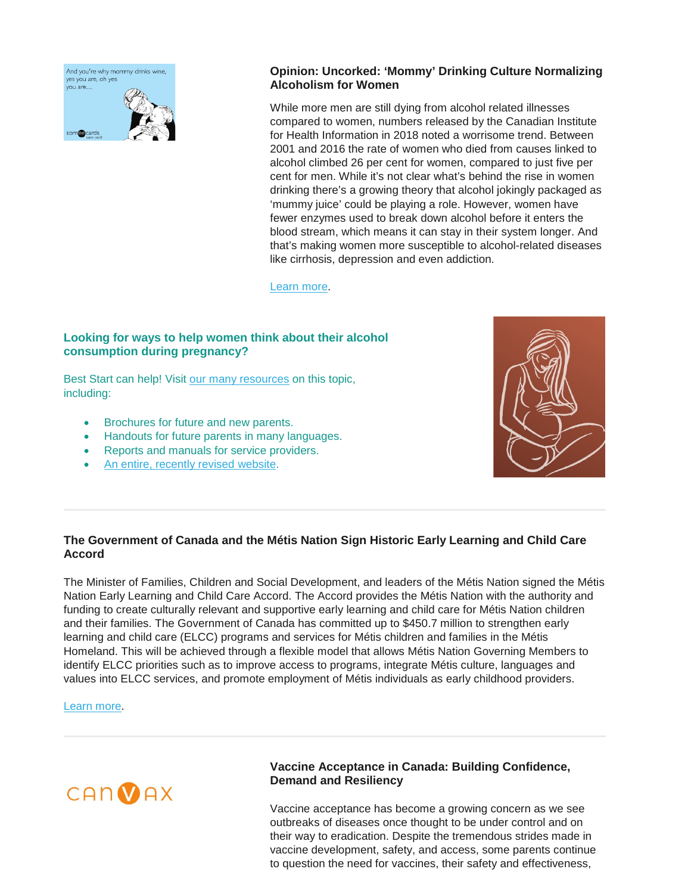And you're why mommy drinks wine, ves vou are, oh ves vou are... som**en**cards

## **Opinion: Uncorked: 'Mommy' Drinking Culture Normalizing Alcoholism for Women**

While more men are still dying from alcohol related illnesses compared to women, numbers released by the Canadian Institute for Health Information in 2018 noted a worrisome trend. Between 2001 and 2016 the rate of women who died from causes linked to alcohol climbed 26 per cent for women, compared to just five per cent for men. While it's not clear what's behind the rise in women drinking there's a growing theory that alcohol jokingly packaged as 'mummy juice' could be playing a role. However, women have fewer enzymes used to break down alcohol before it enters the blood stream, which means it can stay in their system longer. And that's making women more susceptible to alcohol-related diseases like cirrhosis, depression and even addiction.

[Learn more.](https://globalnews.ca/news/5042663/uncorked-mommy-drinking-culture-normalizing-alcoholism-for-women/)

## **Looking for ways to help women think about their alcohol consumption during pregnancy?**

Best Start can help! Visit [our many resources](https://resources.beststart.org/product-category/resources/alcohol-and-drugs/) on this topic, including:

- Brochures for future and new parents.
- Handouts for future parents in many languages.
- Reports and manuals for service providers.
- [An entire, recently revised website.](https://www.alcoholfreepregnancy.ca/)



## **The Government of Canada and the Métis Nation Sign Historic Early Learning and Child Care Accord**

The Minister of Families, Children and Social Development, and leaders of the Métis Nation signed the Métis Nation Early Learning and Child Care Accord. The Accord provides the Métis Nation with the authority and funding to create culturally relevant and supportive early learning and child care for Métis Nation children and their families. The Government of Canada has committed up to \$450.7 million to strengthen early learning and child care (ELCC) programs and services for Métis children and families in the Métis Homeland. This will be achieved through a flexible model that allows Métis Nation Governing Members to identify ELCC priorities such as to improve access to programs, integrate Métis culture, languages and values into ELCC services, and promote employment of Métis individuals as early childhood providers.

[Learn more.](http://www.metisnation.ca/index.php/news/the-government-of-canada-and-the-metis-nation-sign-historic-early-learning-and-child-care-accord)



## **Vaccine Acceptance in Canada: Building Confidence, Demand and Resiliency**

Vaccine acceptance has become a growing concern as we see outbreaks of diseases once thought to be under control and on their way to eradication. Despite the tremendous strides made in vaccine development, safety, and access, some parents continue to question the need for vaccines, their safety and effectiveness,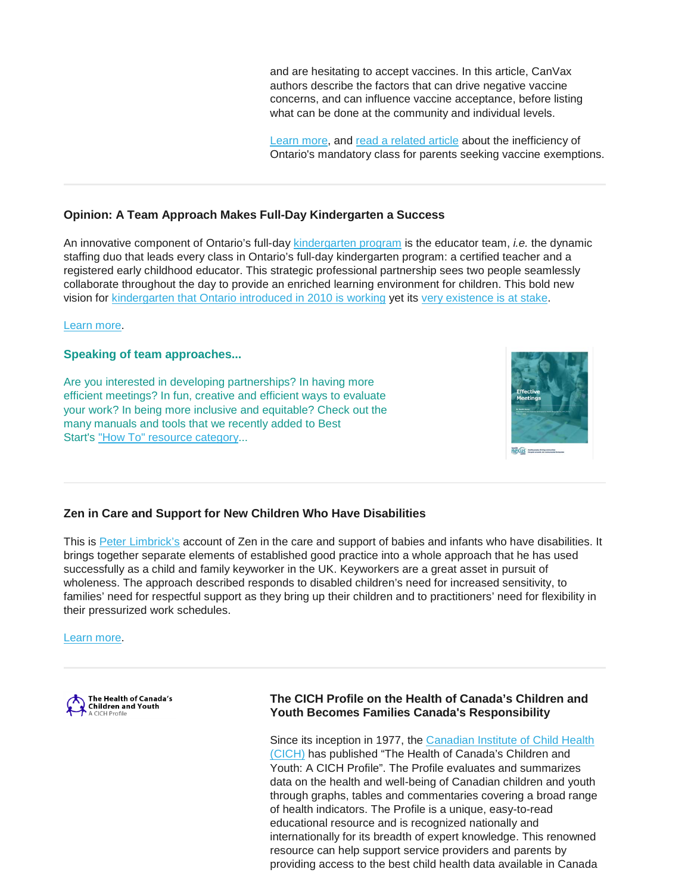and are hesitating to accept vaccines. In this article, CanVax authors describe the factors that can drive negative vaccine concerns, and can influence vaccine acceptance, before listing what can be done at the community and individual levels.

[Learn more,](https://canvax.ca/brief/vaccine-acceptance-canada-building-confidence-demand-and-resiliency?utm_source=Wicket+-+CanVax+Production&utm_campaign=4bc81bfa36-CANVaxBoost2&utm_medium=email&utm_term=0_6b9048b380-4bc81bfa36-159773091) and [read a related article](https://ottawacitizen.com/news/ontarios-mandatory-class-for-parents-seeking-vaccine-exemptions-has-zero-conversions/wcm/0214a155-23fd-4f9b-8bdb-642c6efb3db5) about the inefficiency of Ontario's mandatory class for parents seeking vaccine exemptions.

## **Opinion: A Team Approach Makes Full-Day Kindergarten a Success**

An innovative component of Ontario's full-day [kindergarten program](https://www.ontario.ca/document/kindergarten-program-2016) is the educator team, *i.e.* the dynamic staffing duo that leads every class in Ontario's full-day kindergarten program: a certified teacher and a registered early childhood educator. This strategic professional partnership sees two people seamlessly collaborate throughout the day to provide an enriched learning environment for children. This bold new vision for [kindergarten that Ontario introduced in 2010 is working](https://theconversation.com/children-gain-learning-boost-from-two-year-full-day-kindergarten-79549) yet its [very existence is at stake.](https://www.cbc.ca/news/canada/toronto/ford-ontario-school-boards-hiring-freeze-budget-1.5038662)

#### [Learn more.](https://theconversation.com/a-team-approach-makes-full-day-kindergarten-a-success-113339?utm_source=E-Newsletter&utm_campaign=36cf983756-EMAIL_CAMPAIGN_2019_03_12_03_42&utm_medium=email&utm_term=0_422aeb3dbd-36cf983756-18856869)

### **Speaking of team approaches...**

Are you interested in developing partnerships? In having more efficient meetings? In fun, creative and efficient ways to evaluate your work? In being more inclusive and equitable? Check out the many manuals and tools that we recently added to Best Start's ["How To" resource category.](https://resources.beststart.org/product-category/resources/how-to-resources/)..



## **Zen in Care and Support for New Children Who Have Disabilities**

This is [Peter Limbrick's](http://tacinterconnections.com/) account of Zen in the care and support of babies and infants who have disabilities. It brings together separate elements of established good practice into a whole approach that he has used successfully as a child and family keyworker in the UK. Keyworkers are a great asset in pursuit of wholeness. The approach described responds to disabled children's need for increased sensitivity, to families' need for respectful support as they bring up their children and to practitioners' need for flexibility in their pressurized work schedules.

[Learn more.](http://www.tacinterconnections.com/index.php/allnews/developmentsintreatment/3085-zen-in-care-and-support-for-new-children-who-have-disabilities)



## **The CICH Profile on the Health of Canada's Children and Youth Becomes Families Canada's Responsibility**

Since its inception in 1977, the [Canadian Institute of Child Health](https://cich.ca/)  [\(CICH\)](https://cich.ca/) has published "The Health of Canada's Children and Youth: A CICH Profile". The Profile evaluates and summarizes data on the health and well-being of Canadian children and youth through graphs, tables and commentaries covering a broad range of health indicators. The Profile is a unique, easy-to-read educational resource and is recognized nationally and internationally for its breadth of expert knowledge. This renowned resource can help support service providers and parents by providing access to the best child health data available in Canada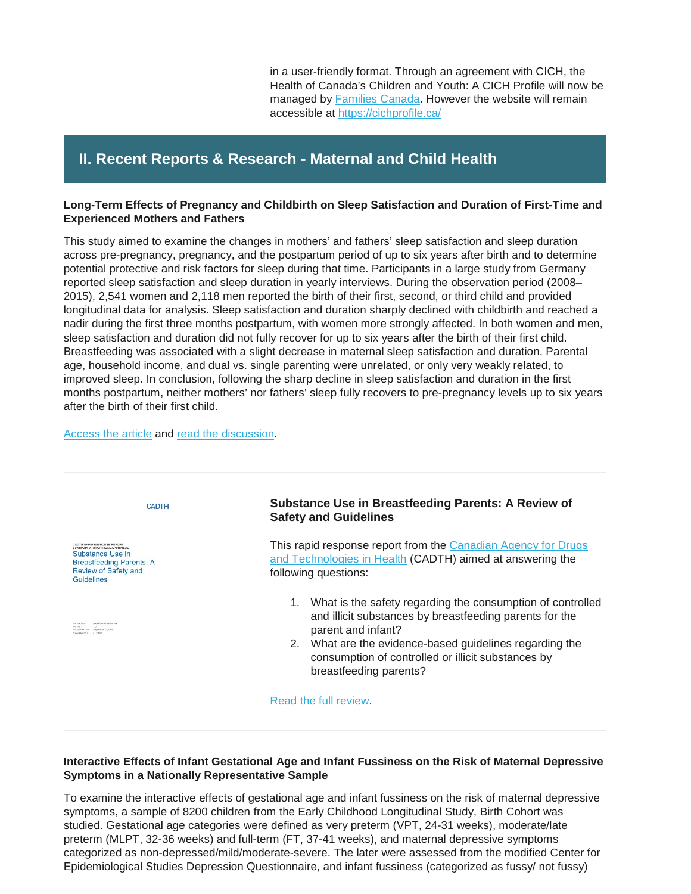in a user-friendly format. Through an agreement with CICH, the Health of Canada's Children and Youth: A CICH Profile will now be managed by **Families Canada**. However the website will remain accessible at [https://cichprofile.ca/](https://familiescanada.us15.list-manage.com/track/click?u=6831b71a588234cc9ab12bd93&id=0c25f9261d&e=4f0174fc65)

# **II. Recent Reports & Research - Maternal and Child Health**

### **Long-Term Effects of Pregnancy and Childbirth on Sleep Satisfaction and Duration of First-Time and Experienced Mothers and Fathers**

This study aimed to examine the changes in mothers' and fathers' sleep satisfaction and sleep duration across pre-pregnancy, pregnancy, and the postpartum period of up to six years after birth and to determine potential protective and risk factors for sleep during that time. Participants in a large study from Germany reported sleep satisfaction and sleep duration in yearly interviews. During the observation period (2008– 2015), 2,541 women and 2,118 men reported the birth of their first, second, or third child and provided longitudinal data for analysis. Sleep satisfaction and duration sharply declined with childbirth and reached a nadir during the first three months postpartum, with women more strongly affected. In both women and men, sleep satisfaction and duration did not fully recover for up to six years after the birth of their first child. Breastfeeding was associated with a slight decrease in maternal sleep satisfaction and duration. Parental age, household income, and dual vs. single parenting were unrelated, or only very weakly related, to improved sleep. In conclusion, following the sharp decline in sleep satisfaction and duration in the first months postpartum, neither mothers' nor fathers' sleep fully recovers to pre-pregnancy levels up to six years after the birth of their first child.

#### [Access the article](https://www.researchgate.net/publication/330368915_Long-term_effects_of_pregnancy_and_childbirth_on_sleep_satisfaction_and_duration_of_first-time_and_experienced_mothers_and_fathers) and [read the discussion.](https://www.sciencedaily.com/releases/2019/02/190225192116.htm)



### **Interactive Effects of Infant Gestational Age and Infant Fussiness on the Risk of Maternal Depressive Symptoms in a Nationally Representative Sample**

To examine the interactive effects of gestational age and infant fussiness on the risk of maternal depressive symptoms, a sample of 8200 children from the Early Childhood Longitudinal Study, Birth Cohort was studied. Gestational age categories were defined as very preterm (VPT, 24-31 weeks), moderate/late preterm (MLPT, 32-36 weeks) and full-term (FT, 37-41 weeks), and maternal depressive symptoms categorized as non-depressed/mild/moderate-severe. The later were assessed from the modified Center for Epidemiological Studies Depression Questionnaire, and infant fussiness (categorized as fussy/ not fussy)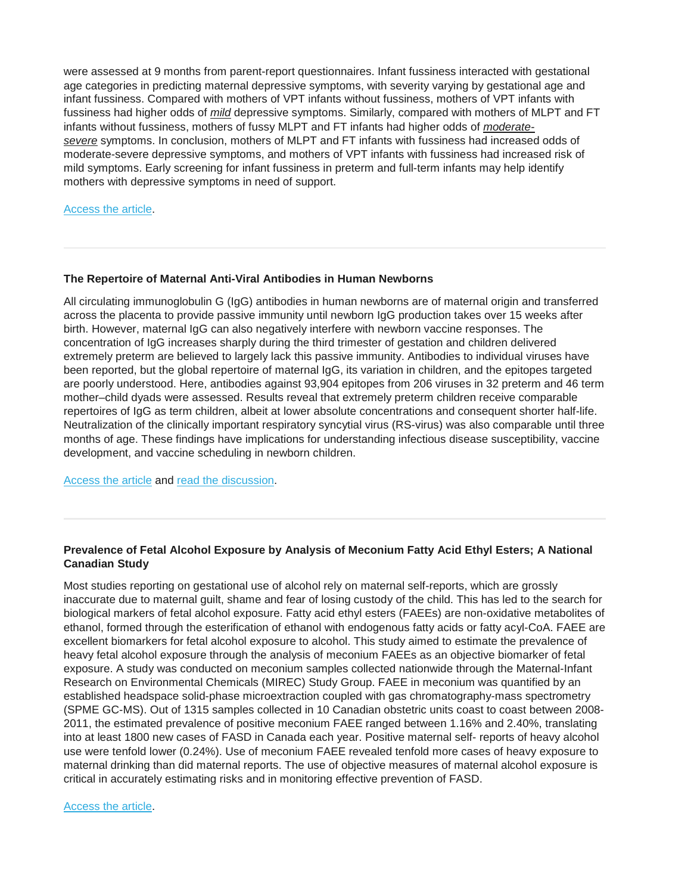were assessed at 9 months from parent-report questionnaires. Infant fussiness interacted with gestational age categories in predicting maternal depressive symptoms, with severity varying by gestational age and infant fussiness. Compared with mothers of VPT infants without fussiness, mothers of VPT infants with fussiness had higher odds of *mild* depressive symptoms. Similarly, compared with mothers of MLPT and FT infants without fussiness, mothers of fussy MLPT and FT infants had higher odds of *moderatesevere* symptoms. In conclusion, mothers of MLPT and FT infants with fussiness had increased odds of moderate-severe depressive symptoms, and mothers of VPT infants with fussiness had increased risk of mild symptoms. Early screening for infant fussiness in preterm and full-term infants may help identify mothers with depressive symptoms in need of support.

#### [Access the article.](https://www.sciencedirect.com/science/article/pii/S1876285918305412)

#### **The Repertoire of Maternal Anti-Viral Antibodies in Human Newborns**

All circulating immunoglobulin G (IgG) antibodies in human newborns are of maternal origin and transferred across the placenta to provide passive immunity until newborn IgG production takes over 15 weeks after birth. However, maternal IgG can also negatively interfere with newborn vaccine responses. The concentration of IgG increases sharply during the third trimester of gestation and children delivered extremely preterm are believed to largely lack this passive immunity. Antibodies to individual viruses have been reported, but the global repertoire of maternal IgG, its variation in children, and the epitopes targeted are poorly understood. Here, antibodies against 93,904 epitopes from 206 viruses in 32 preterm and 46 term mother–child dyads were assessed. Results reveal that extremely preterm children receive comparable repertoires of IgG as term children, albeit at lower absolute concentrations and consequent shorter half-life. Neutralization of the clinically important respiratory syncytial virus (RS-virus) was also comparable until three months of age. These findings have implications for understanding infectious disease susceptibility, vaccine development, and vaccine scheduling in newborn children.

[Access the article](https://www.nature.com/articles/s41591-019-0392-8) and [read the discussion.](https://www.healio.com/pediatrics/neonatal-medicine/news/online/%7Bce41934c-6336-4f3b-8879-e52933f52984%7D/preterm-full-term-infants-have-similar-immunity-to-viruses)

## **Prevalence of Fetal Alcohol Exposure by Analysis of Meconium Fatty Acid Ethyl Esters; A National Canadian Study**

Most studies reporting on gestational use of alcohol rely on maternal self-reports, which are grossly inaccurate due to maternal guilt, shame and fear of losing custody of the child. This has led to the search for biological markers of fetal alcohol exposure. Fatty acid ethyl esters (FAEEs) are non-oxidative metabolites of ethanol, formed through the esterification of ethanol with endogenous fatty acids or fatty acyl-CoA. FAEE are excellent biomarkers for fetal alcohol exposure to alcohol. This study aimed to estimate the prevalence of heavy fetal alcohol exposure through the analysis of meconium FAEEs as an objective biomarker of fetal exposure. A study was conducted on meconium samples collected nationwide through the Maternal-Infant Research on Environmental Chemicals (MIREC) Study Group. FAEE in meconium was quantified by an established headspace solid-phase microextraction coupled with gas chromatography-mass spectrometry (SPME GC-MS). Out of 1315 samples collected in 10 Canadian obstetric units coast to coast between 2008- 2011, the estimated prevalence of positive meconium FAEE ranged between 1.16% and 2.40%, translating into at least 1800 new cases of FASD in Canada each year. Positive maternal self- reports of heavy alcohol use were tenfold lower (0.24%). Use of meconium FAEE revealed tenfold more cases of heavy exposure to maternal drinking than did maternal reports. The use of objective measures of maternal alcohol exposure is critical in accurately estimating risks and in monitoring effective prevention of FASD.

[Access the article.](https://www.nature.com/articles/s41598-019-38856-5)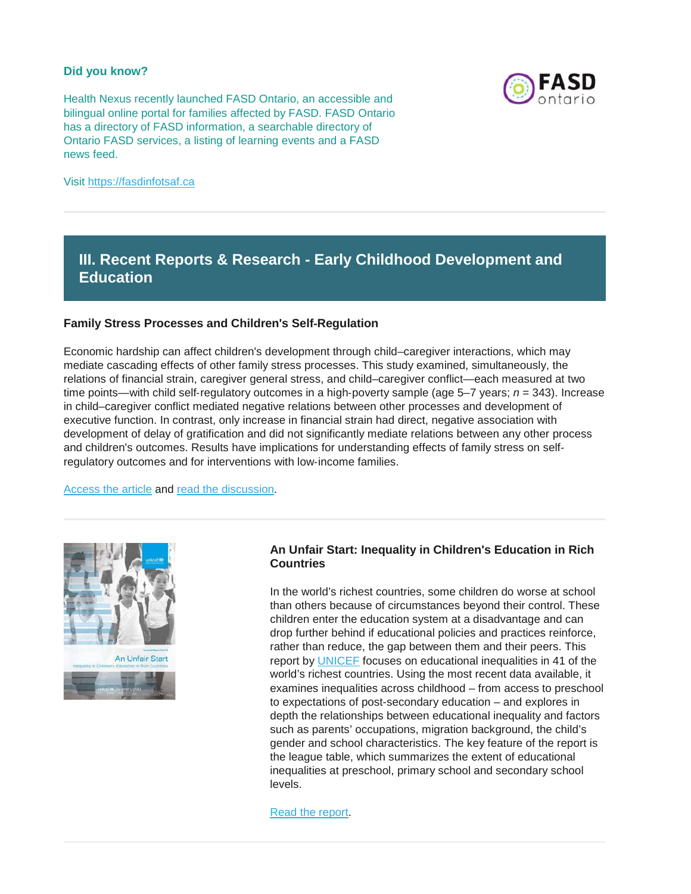#### **Did you know?**

Health Nexus recently launched FASD Ontario, an accessible and bilingual online portal for families affected by FASD. FASD Ontario has a directory of FASD information, a searchable directory of Ontario FASD services, a listing of learning events and a FASD news feed.



Visit [https://fasdinfotsaf.ca](https://fasdinfotsaf.ca/en/)

# **III. Recent Reports & Research - Early Childhood Development and Education**

### **Family Stress Processes and Children's Self**‐**Regulation**

Economic hardship can affect children's development through child–caregiver interactions, which may mediate cascading effects of other family stress processes. This study examined, simultaneously, the relations of financial strain, caregiver general stress, and child–caregiver conflict—each measured at two time points—with child self‐regulatory outcomes in a high‐poverty sample (age 5–7 years; *n* = 343). Increase in child–caregiver conflict mediated negative relations between other processes and development of executive function. In contrast, only increase in financial strain had direct, negative association with development of delay of gratification and did not significantly mediate relations between any other process and children's outcomes. Results have implications for understanding effects of family stress on self‐ regulatory outcomes and for interventions with low-income families.

[Access the article](https://onlinelibrary.wiley.com/doi/full/10.1111/cdev.13202) and [read the discussion.](https://www.psypost.org/2019/03/study-provides-new-details-on-how-stress-processes-in-low-income-families-could-affect-childrens-learning-53258)



### **An Unfair Start: Inequality in Children's Education in Rich Countries**

In the world's richest countries, some children do worse at school than others because of circumstances beyond their control. These children enter the education system at a disadvantage and can drop further behind if educational policies and practices reinforce, rather than reduce, the gap between them and their peers. This report by [UNICEF](https://www.unicef.org/) focuses on educational inequalities in 41 of the world's richest countries. Using the most recent data available, it examines inequalities across childhood – from access to preschool to expectations of post-secondary education – and explores in depth the relationships between educational inequality and factors such as parents' occupations, migration background, the child's gender and school characteristics. The key feature of the report is the league table, which summarizes the extent of educational inequalities at preschool, primary school and secondary school levels.

[Read the report.](https://www.unicef-irc.org/publications/pdf/an-unfair-start-inequality-children-education_37049-RC15-EN-WEB.pdf)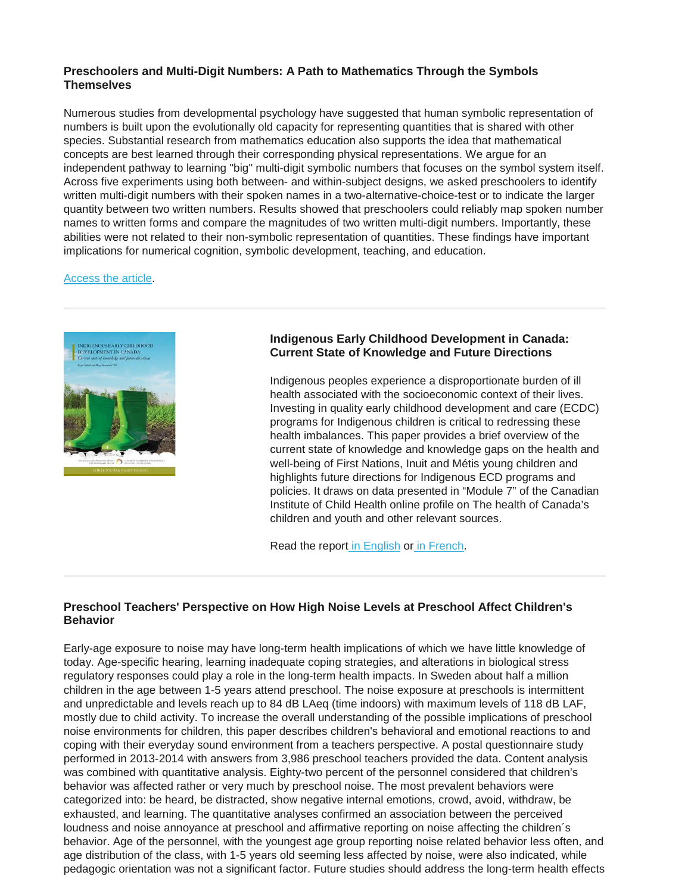## **Preschoolers and Multi-Digit Numbers: A Path to Mathematics Through the Symbols Themselves**

Numerous studies from developmental psychology have suggested that human symbolic representation of numbers is built upon the evolutionally old capacity for representing quantities that is shared with other species. Substantial research from mathematics education also supports the idea that mathematical concepts are best learned through their corresponding physical representations. We argue for an independent pathway to learning "big" multi-digit symbolic numbers that focuses on the symbol system itself. Across five experiments using both between- and within-subject designs, we asked preschoolers to identify written multi-digit numbers with their spoken names in a two-alternative-choice-test or to indicate the larger quantity between two written numbers. Results showed that preschoolers could reliably map spoken number names to written forms and compare the magnitudes of two written multi-digit numbers. Importantly, these abilities were not related to their non-symbolic representation of quantities. These findings have important implications for numerical cognition, symbolic development, teaching, and education.

#### [Access the article.](https://www.ncbi.nlm.nih.gov/pubmed/30921409)



## **Indigenous Early Childhood Development in Canada: Current State of Knowledge and Future Directions**

Indigenous peoples experience a disproportionate burden of ill health associated with the socioeconomic context of their lives. Investing in quality early childhood development and care (ECDC) programs for Indigenous children is critical to redressing these health imbalances. This paper provides a brief overview of the current state of knowledge and knowledge gaps on the health and well-being of First Nations, Inuit and Métis young children and highlights future directions for Indigenous ECD programs and policies. It draws on data presented in "Module 7" of the Canadian Institute of Child Health online profile on The health of Canada's children and youth and other relevant sources.

Read the report [in English](https://www.nccah-ccnsa.ca/docs/health/RPT-ECD-PHAC-Greenwood-Halseth-EN.pdf) or [in French.](https://www.nccah-ccnsa.ca/docs/health/RPT-ECD-PHAC-Greenwood-Halseth-FR.pdf)

## **Preschool Teachers' Perspective on How High Noise Levels at Preschool Affect Children's Behavior**

Early-age exposure to noise may have long-term health implications of which we have little knowledge of today. Age-specific hearing, learning inadequate coping strategies, and alterations in biological stress regulatory responses could play a role in the long-term health impacts. In Sweden about half a million children in the age between 1-5 years attend preschool. The noise exposure at preschools is intermittent and unpredictable and levels reach up to 84 dB LAeq (time indoors) with maximum levels of 118 dB LAF, mostly due to child activity. To increase the overall understanding of the possible implications of preschool noise environments for children, this paper describes children's behavioral and emotional reactions to and coping with their everyday sound environment from a teachers perspective. A postal questionnaire study performed in 2013-2014 with answers from 3,986 preschool teachers provided the data. Content analysis was combined with quantitative analysis. Eighty-two percent of the personnel considered that children's behavior was affected rather or very much by preschool noise. The most prevalent behaviors were categorized into: be heard, be distracted, show negative internal emotions, crowd, avoid, withdraw, be exhausted, and learning. The quantitative analyses confirmed an association between the perceived loudness and noise annoyance at preschool and affirmative reporting on noise affecting the children´s behavior. Age of the personnel, with the youngest age group reporting noise related behavior less often, and age distribution of the class, with 1-5 years old seeming less affected by noise, were also indicated, while pedagogic orientation was not a significant factor. Future studies should address the long-term health effects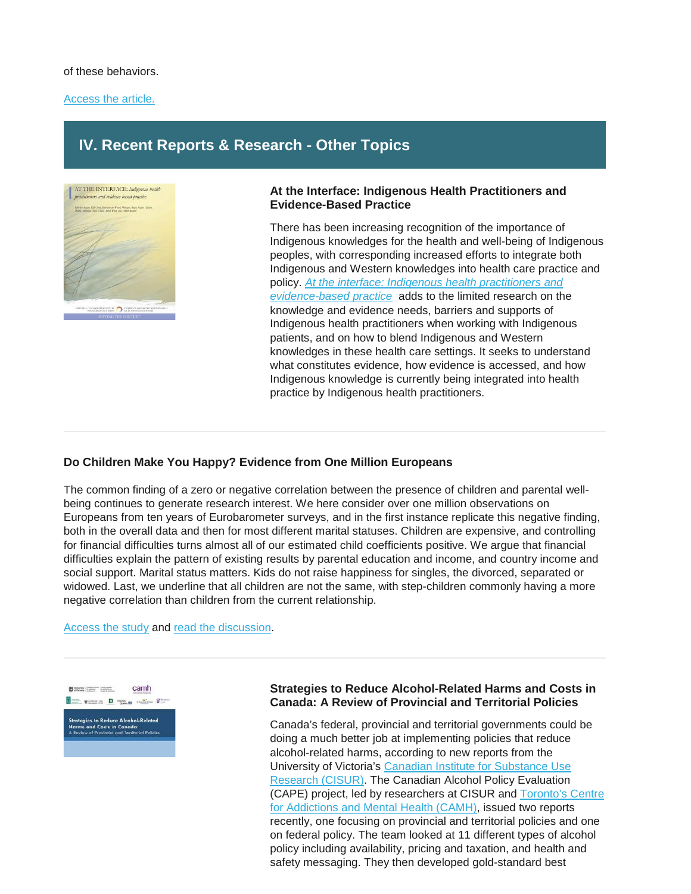#### of these behaviors.

#### [Access the article.](https://www.tandfonline.com/doi/pdf/10.1080/00220671.2018.1486280?needAccess=true)

# **IV. Recent Reports & Research - Other Topics**



#### **At the Interface: Indigenous Health Practitioners and Evidence-Based Practice**

There has been increasing recognition of the importance of Indigenous knowledges for the health and well-being of Indigenous peoples, with corresponding increased efforts to integrate both Indigenous and Western knowledges into health care practice and policy. *[At the interface: Indigenous health practitioners and](https://www.nccah-ccnsa.ca/495/At_the_interface__Indigenous_health_practitioners_and_evidence-based_practice.nccah?id=249)  [evidence-based practice](https://www.nccah-ccnsa.ca/495/At_the_interface__Indigenous_health_practitioners_and_evidence-based_practice.nccah?id=249)* adds to the limited research on the knowledge and evidence needs, barriers and supports of Indigenous health practitioners when working with Indigenous patients, and on how to blend Indigenous and Western knowledges in these health care settings. It seeks to understand what constitutes evidence, how evidence is accessed, and how Indigenous knowledge is currently being integrated into health practice by Indigenous health practitioners.

## **Do Children Make You Happy? Evidence from One Million Europeans**

The common finding of a zero or negative correlation between the presence of children and parental wellbeing continues to generate research interest. We here consider over one million observations on Europeans from ten years of Eurobarometer surveys, and in the first instance replicate this negative finding, both in the overall data and then for most different marital statuses. Children are expensive, and controlling for financial difficulties turns almost all of our estimated child coefficients positive. We argue that financial difficulties explain the pattern of existing results by parental education and income, and country income and social support. Marital status matters. Kids do not raise happiness for singles, the divorced, separated or widowed. Last, we underline that all children are not the same, with step-children commonly having a more negative correlation than children from the current relationship.

#### [Access the study](https://www.nber.org/papers/w25597) and [read the discussion.](https://nypost.com/2019/02/26/having-children-could-reduce-your-happiness-says-study/)



#### **Strategies to Reduce Alcohol-Related Harms and Costs in Canada: A Review of Provincial and Territorial Policies**

Canada's federal, provincial and territorial governments could be doing a much better job at implementing policies that reduce alcohol-related harms, according to new reports from the University of Victoria's [Canadian Institute for Substance Use](https://www.uvic.ca/research/centres/cisur/index.php)  [Research \(CISUR\).](https://www.uvic.ca/research/centres/cisur/index.php) The Canadian Alcohol Policy Evaluation (CAPE) project, led by researchers at CISUR and [Toronto's Centre](http://www.camh.ca/)  [for Addictions and Mental Health \(CAMH\),](http://www.camh.ca/) issued two reports recently, one focusing on provincial and territorial policies and one on federal policy. The team looked at 11 different types of alcohol policy including availability, pricing and taxation, and health and safety messaging. They then developed gold-standard best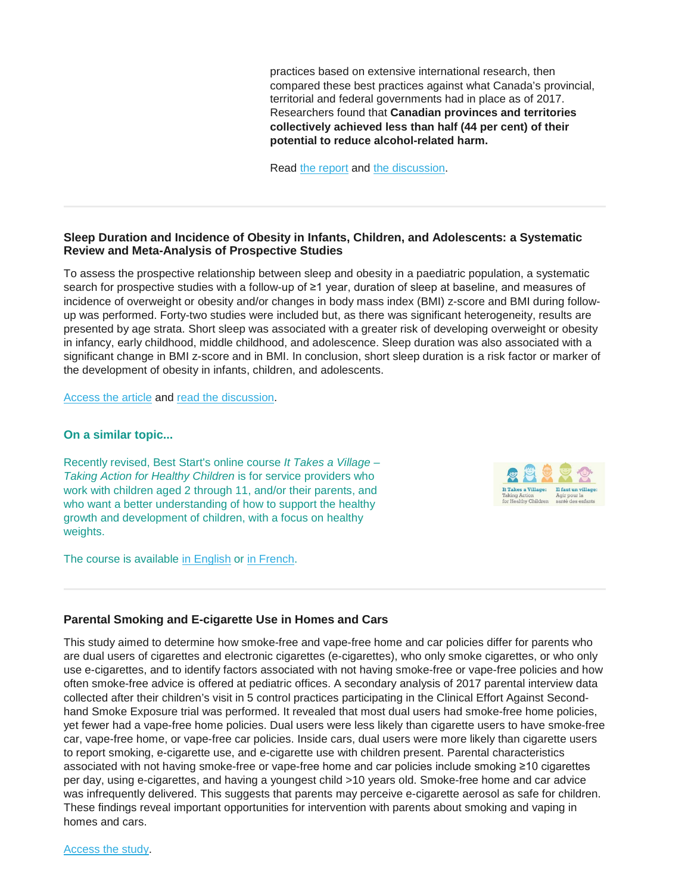practices based on extensive international research, then compared these best practices against what Canada's provincial, territorial and federal governments had in place as of 2017. Researchers found that **Canadian provinces and territories collectively achieved less than half (44 per cent) of their potential to reduce alcohol-related harm.**

Read [the report](https://www.uvic.ca/research/centres/cisur/assets/docs/report-cape-pt-en.pdf) and [the discussion.](https://www.uvic.ca/research/centres/cisur/about/news/current/canadian-alcohol-policy-gets-failing-grade.php)

## **Sleep Duration and Incidence of Obesity in Infants, Children, and Adolescents: a Systematic Review and Meta-Analysis of Prospective Studies**

To assess the prospective relationship between sleep and obesity in a paediatric population, a systematic search for prospective studies with a follow-up of ≥1 year, duration of sleep at baseline, and measures of incidence of overweight or obesity and/or changes in body mass index (BMI) z-score and BMI during followup was performed. Forty-two studies were included but, as there was significant heterogeneity, results are presented by age strata. Short sleep was associated with a greater risk of developing overweight or obesity in infancy, early childhood, middle childhood, and adolescence. Sleep duration was also associated with a significant change in BMI z-score and in BMI. In conclusion, short sleep duration is a risk factor or marker of the development of obesity in infants, children, and adolescents.

[Access the article](https://academic.oup.com/sleep/article-abstract/41/4/zsy018/4833233?redirectedFrom=fulltext) and [read the discussion.](https://warwick.ac.uk/newsandevents/pressreleases/lack_of_sleep_leads_to_obesity_in_children_and_adolescents1/)

#### **On a similar topic...**

Recently revised, Best Start's online course *It Takes a Village – Taking Action for Healthy Children* is for service providers who work with children aged 2 through 11, and/or their parents, and who want a better understanding of how to support the healthy growth and development of children, with a focus on healthy weights.

The course is available [in English](https://resources.beststart.org/product/k54-e-it-takes-a-village-taking-action-online-course/) or [in French.](https://resources.beststart.org/product/k54f-il-faut-un-village-agir-cours-en-ligne-en/)



#### **Parental Smoking and E-cigarette Use in Homes and Cars**

This study aimed to determine how smoke-free and vape-free home and car policies differ for parents who are dual users of cigarettes and electronic cigarettes (e-cigarettes), who only smoke cigarettes, or who only use e-cigarettes, and to identify factors associated with not having smoke-free or vape-free policies and how often smoke-free advice is offered at pediatric offices. A secondary analysis of 2017 parental interview data collected after their children's visit in 5 control practices participating in the Clinical Effort Against Secondhand Smoke Exposure trial was performed. It revealed that most dual users had smoke-free home policies, yet fewer had a vape-free home policies. Dual users were less likely than cigarette users to have smoke-free car, vape-free home, or vape-free car policies. Inside cars, dual users were more likely than cigarette users to report smoking, e-cigarette use, and e-cigarette use with children present. Parental characteristics associated with not having smoke-free or vape-free home and car policies include smoking ≥10 cigarettes per day, using e-cigarettes, and having a youngest child >10 years old. Smoke-free home and car advice was infrequently delivered. This suggests that parents may perceive e-cigarette aerosol as safe for children. These findings reveal important opportunities for intervention with parents about smoking and vaping in homes and cars.

[Access the study.](https://pediatrics.aappublications.org/content/early/2019/03/07/peds.2018-3249)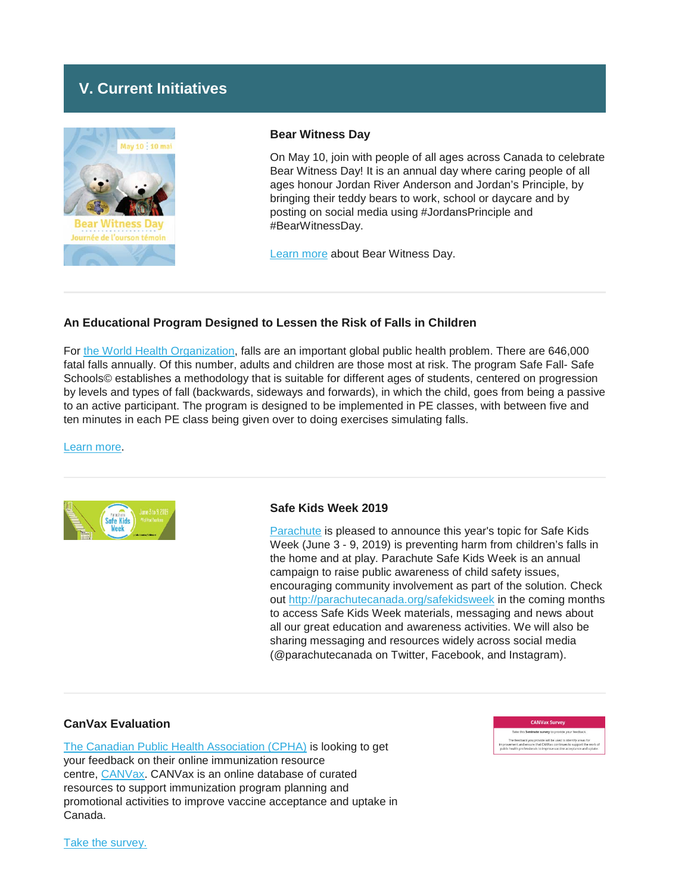# **V. Current Initiatives**



#### **Bear Witness Day**

On May 10, join with people of all ages across Canada to celebrate Bear Witness Day! It is an annual day where caring people of all ages honour Jordan River Anderson and Jordan's Principle, by bringing their teddy bears to work, school or daycare and by posting on social media using #JordansPrinciple and #BearWitnessDay.

[Learn more](https://fncaringsociety.com/BearWitness) about Bear Witness Day.

## **An Educational Program Designed to Lessen the Risk of Falls in Children**

For [the World Health Organization,](https://www.who.int/) falls are an important global public health problem. There are 646,000 fatal falls annually. Of this number, adults and children are those most at risk. The program Safe Fall- Safe Schools© establishes a methodology that is suitable for different ages of students, centered on progression by levels and types of fall (backwards, sideways and forwards), in which the child, goes from being a passive to an active participant. The program is designed to be implemented in PE classes, with between five and ten minutes in each PE class being given over to doing exercises simulating falls.

#### [Learn more.](https://www.sciencedaily.com/releases/2019/02/190225105056.htm)



#### **Safe Kids Week 2019**

[Parachute](http://www.parachutecanada.org/) is pleased to announce this year's topic for Safe Kids Week (June 3 - 9, 2019) is preventing harm from children's falls in the home and at play. Parachute Safe Kids Week is an annual campaign to raise public awareness of child safety issues, encouraging community involvement as part of the solution. Check out <http://parachutecanada.org/safekidsweek> in the coming months to access Safe Kids Week materials, messaging and news about all our great education and awareness activities. We will also be sharing messaging and resources widely across social media (@parachutecanada on Twitter, Facebook, and Instagram).

#### **CanVax Evaluation**

[The Canadian Public Health Association \(CPHA\)](https://cpha.ca/canadian-public-health-association) is looking to get your feedback on their online immunization resource centre, [CANVax.](https://www.canvax.ca/) CANVax is an online database of curated resources to support immunization program planning and promotional activities to improve vaccine acceptance and uptake in Canada.



[Take the survey.](https://form.simplesurvey.com/f/LanguageSelection.aspx?s=ac8eb471-c975-4594-888a-a64d1adab033)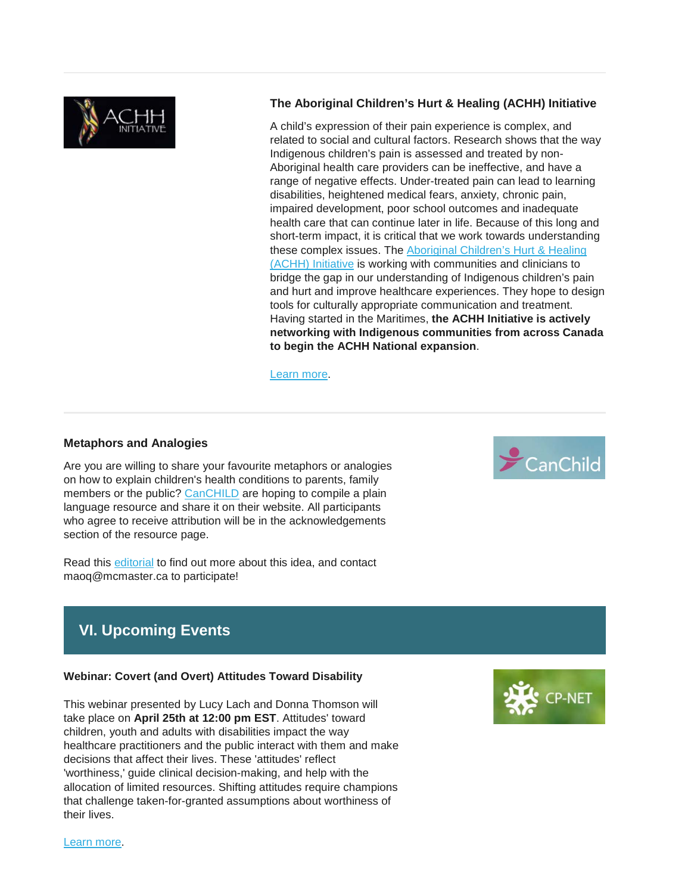

## **The Aboriginal Children's Hurt & Healing (ACHH) Initiative**

A child's expression of their pain experience is complex, and related to social and cultural factors. Research shows that the way Indigenous children's pain is assessed and treated by non-Aboriginal health care providers can be ineffective, and have a range of negative effects. Under-treated pain can lead to learning disabilities, heightened medical fears, anxiety, chronic pain, impaired development, poor school outcomes and inadequate health care that can continue later in life. Because of this long and short-term impact, it is critical that we work towards understanding these complex issues. The [Aboriginal Children's Hurt & Healing](https://achh.ca/)  [\(ACHH\) Initiative](https://achh.ca/) is working with communities and clinicians to bridge the gap in our understanding of Indigenous children's pain and hurt and improve healthcare experiences. They hope to design tools for culturally appropriate communication and treatment. Having started in the Maritimes, **the ACHH Initiative is actively networking with Indigenous communities from across Canada to begin the ACHH National expansion**.

[Learn more.](https://achh.ca/)

#### **Metaphors and Analogies**

Are you are willing to share your favourite metaphors or analogies on how to explain children's health conditions to parents, family members or the public? [CanCHILD](https://www.canchild.ca/) are hoping to compile a plain language resource and share it on their website. All participants who agree to receive attribution will be in the acknowledgements section of the resource page.

Read this [editorial](http://r20.rs6.net/tn.jsp?f=001YbQAdlxUsGqaVmBxEe0ZzFEd_m8VzrSYGERKbyGe9ReXLEKyiVKflF0pryjFnPbMkZarNdHsJH42amQJGUMBvbfctk9bpzdOyUm40BjbyAzdGqaNZCPI5CsMvkQHxmqCMSorCb8QpVeCxqF3ojxrU50JS5ge-vca3PkdfmuPh5V_fqixSRuGbsyG7EsvsZQoZzaOlVGA8m_M16kGZO9SmBcpWaOC5hoF&c=38NDlEAbH1Z0R7XECqK6R2wM-_ZUBpL6zzwzIvoxMtEkmkOg4PH0Tw==&ch=tEgYA7pTzSjny4SlKnn2AOwbYtVPmflVk61h7WuklLTyNO4Ews7AIQ==) to find out more about this idea, and contact maoq@mcmaster.ca to participate!

# **VI. Upcoming Events**

#### **Webinar: Covert (and Overt) Attitudes Toward Disability**

This webinar presented by Lucy Lach and Donna Thomson will take place on **April 25th at 12:00 pm EST**. Attitudes' toward children, youth and adults with disabilities impact the way healthcare practitioners and the public interact with them and make decisions that affect their lives. These 'attitudes' reflect 'worthiness,' guide clinical decision-making, and help with the allocation of limited resources. Shifting attitudes require champions that challenge taken-for-granted assumptions about worthiness of their lives.

 $\epsilon$ CanChild



#### [Learn more.](http://r20.rs6.net/tn.jsp?f=001YbQAdlxUsGqaVmBxEe0ZzFEd_m8VzrSYGERKbyGe9ReXLEKyiVKflLubbz8ZDWvSij4lg1XZsvxIu0Sjh0Xl23GbKYfFTs_NVU48cg1w8w5kjdpPlWM5GxLnwpXaZuWnvOcib4J7lfsw9EZfK1GzBkVn0pnq74u2qy6EroWesuzclduhPBOw0hhEsGixZRnGz5MPcO4yi426wbJrPUDbO0jOxoxZCrzbxCPXRVlsg-iKA2i6iHmQbtquda5wF3EE8l3rLglRx2MkSbLwdHmkhVqdnmM8RBwu&c=38NDlEAbH1Z0R7XECqK6R2wM-_ZUBpL6zzwzIvoxMtEkmkOg4PH0Tw==&ch=tEgYA7pTzSjny4SlKnn2AOwbYtVPmflVk61h7WuklLTyNO4Ews7AIQ==)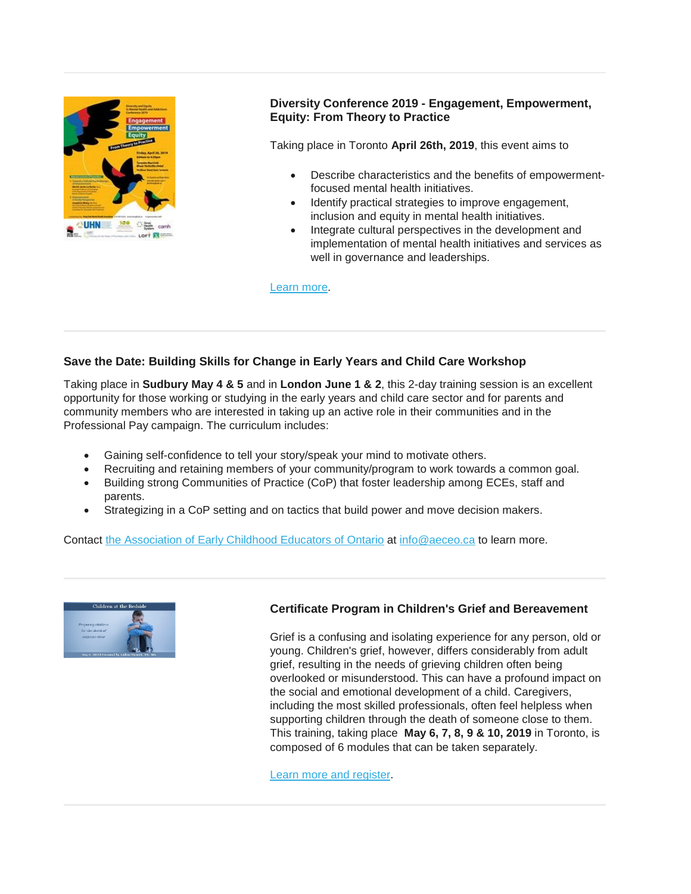

## **Diversity Conference 2019 - Engagement, Empowerment, Equity: From Theory to Practice**

Taking place in Toronto **April 26th, 2019**, this event aims to

- Describe characteristics and the benefits of empowermentfocused mental health initiatives.
- Identify practical strategies to improve engagement, inclusion and equity in mental health initiatives.
- Integrate cultural perspectives in the development and implementation of mental health initiatives and services as well in governance and leaderships.

[Learn more.](http://www.psychiatryandculture.org/)

## **Save the Date: Building Skills for Change in Early Years and Child Care Workshop**

Taking place in **Sudbury May 4 & 5** and in **London June 1 & 2**, this 2-day training session is an excellent opportunity for those working or studying in the early years and child care sector and for parents and community members who are interested in taking up an active role in their communities and in the Professional Pay campaign. The curriculum includes:

- Gaining self-confidence to tell your story/speak your mind to motivate others.
- Recruiting and retaining members of your community/program to work towards a common goal.
- Building strong Communities of Practice (CoP) that foster leadership among ECEs, staff and parents.
- Strategizing in a CoP setting and on tactics that build power and move decision makers.

Contact [the Association of Early Childhood Educators of Ontario](https://www.aeceo.ca/contact_us) at [info@aeceo.ca](mailto:info@aeceo.ca) to learn more.



## **Certificate Program in Children's Grief and Bereavement**

Grief is a confusing and isolating experience for any person, old or young. Children's grief, however, differs considerably from adult grief, resulting in the needs of grieving children often being overlooked or misunderstood. This can have a profound impact on the social and emotional development of a child. Caregivers, including the most skilled professionals, often feel helpless when supporting children through the death of someone close to them. This training, taking place **May 6, 7, 8, 9 & 10, 2019** in Toronto, is composed of 6 modules that can be taken separately.

[Learn more and register.](http://www.cvent.com/events/children-s-grief-and-bereavement-certificate-provide-evidence-based-support-to-children-youth-and-fa/event-summary-c5567104082d4e3f8efd7c149a4ead9e.aspx)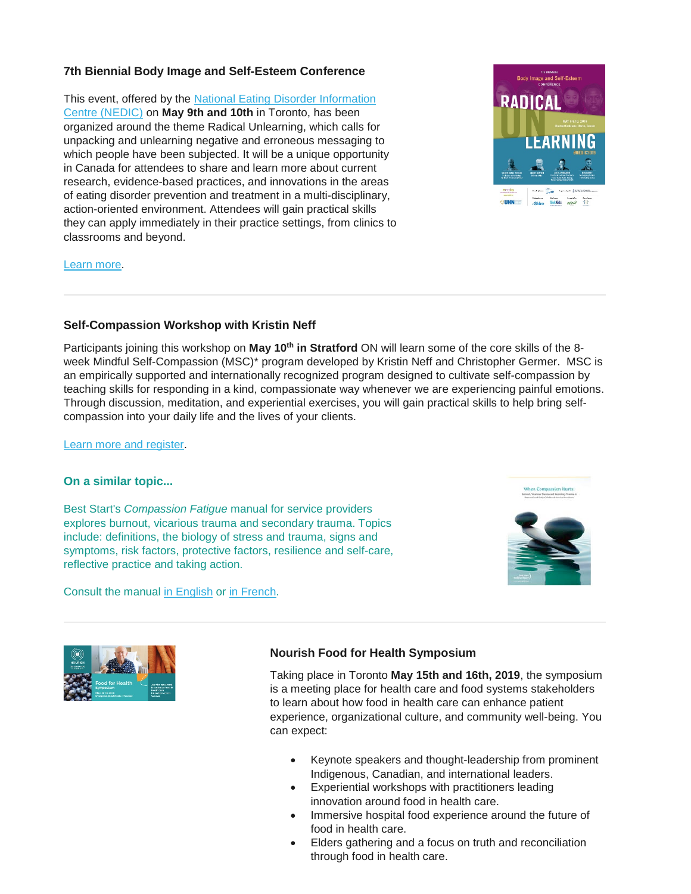## **7th Biennial Body Image and Self-Esteem Conference**

This event, offered by the National Eating Disorder Information [Centre \(NEDIC\)](http://nedic.ca/) on **May 9th and 10th** in Toronto, has been organized around the theme Radical Unlearning, which calls for unpacking and unlearning negative and erroneous messaging to which people have been subjected. It will be a unique opportunity in Canada for attendees to share and learn more about current research, evidence-based practices, and innovations in the areas of eating disorder prevention and treatment in a multi-disciplinary, action-oriented environment. Attendees will gain practical skills they can apply immediately in their practice settings, from clinics to classrooms and beyond.



#### [Learn more.](http://nedic.ca/conference)

## **Self-Compassion Workshop with Kristin Neff**

Participants joining this workshop on May 10<sup>th</sup> in Stratford ON will learn some of the core skills of the 8week Mindful Self-Compassion (MSC)\* program developed by Kristin Neff and Christopher Germer. MSC is an empirically supported and internationally recognized program designed to cultivate self-compassion by teaching skills for responding in a kind, compassionate way whenever we are experiencing painful emotions. Through discussion, meditation, and experiential exercises, you will gain practical skills to help bring selfcompassion into your daily life and the lives of your clients.

#### [Learn more and register.](http://www.missionempowerment.ca/self-compassion.html)

## **On a similar topic...**

Best Start's *Compassion Fatigue* manual for service providers explores burnout, vicarious trauma and secondary trauma. Topics include: definitions, the biology of stress and trauma, signs and symptoms, risk factors, protective factors, resilience and self-care, reflective practice and taking action.

Consult the manual [in English](https://resources.beststart.org/product/j13e-when-compassion-hurts-manual/) or [in French.](https://resources.beststart.org/product/j13f-lorsque-compassion-rime-avec-souffrance-manuel-en/)







## **Nourish Food for Health Symposium**

Taking place in Toronto **May 15th and 16th, 2019**, the symposium is a meeting place for health care and food systems stakeholders to learn about how food in health care can enhance patient experience, organizational culture, and community well-being. You can expect:

- Keynote speakers and thought-leadership from prominent Indigenous, Canadian, and international leaders.
- Experiential workshops with practitioners leading innovation around food in health care.
- Immersive hospital food experience around the future of food in health care.
- Elders gathering and a focus on truth and reconciliation through food in health care.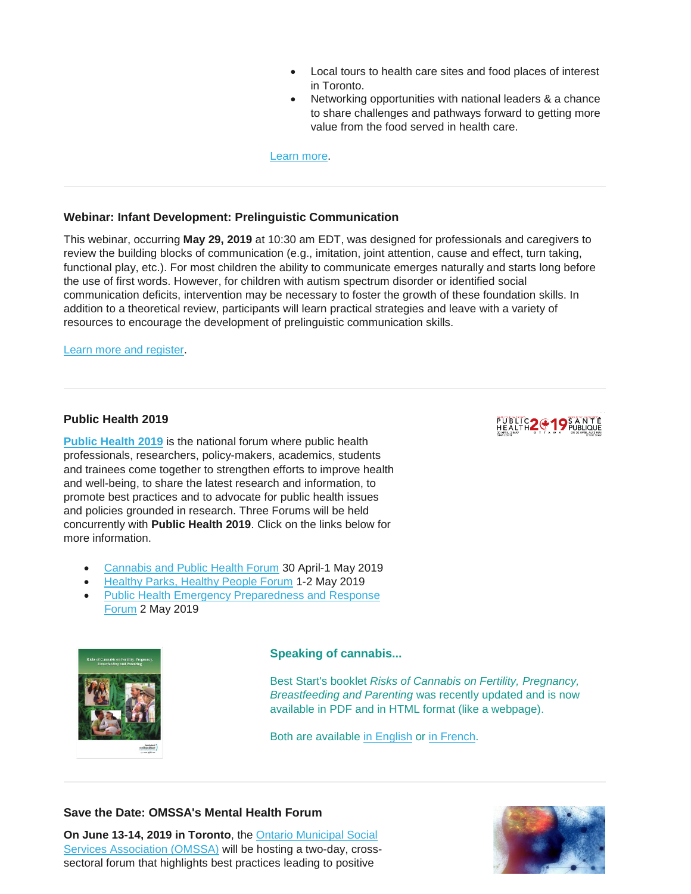- Local tours to health care sites and food places of interest in Toronto.
- Networking opportunities with national leaders & a chance to share challenges and pathways forward to getting more value from the food served in health care.

[Learn more.](http://foodforhealth.nourishhealthcare.ca/sites/nourishhealthcare/en/foodforhealth)

## **Webinar: Infant Development: Prelinguistic Communication**

This webinar, occurring **May 29, 2019** at 10:30 am EDT, was designed for professionals and caregivers to review the building blocks of communication (e.g., imitation, joint attention, cause and effect, turn taking, functional play, etc.). For most children the ability to communicate emerges naturally and starts long before the use of first words. However, for children with autism spectrum disorder or identified social communication deficits, intervention may be necessary to foster the growth of these foundation skills. In addition to a theoretical review, participants will learn practical strategies and leave with a variety of resources to encourage the development of prelinguistic communication skills.

[Learn more and register.](http://events.r20.constantcontact.com/register/event?oeidk=a07efspwsnhd7ebf704&llr=54n6segab)

## **Public Health 2019**

**[Public Health 2019](https://www.cpha.ca/publichealth2019)** is the national forum where public health professionals, researchers, policy-makers, academics, students and trainees come together to strengthen efforts to improve health and well-being, to share the latest research and information, to promote best practices and to advocate for public health issues and policies grounded in research. Three Forums will be held concurrently with **Public Health 2019**. Click on the links below for more information.

- [Cannabis and Public Health Forum](https://www.cpha.ca/cannabis-and-public-health-forum) 30 April-1 May 2019
- [Healthy Parks, Healthy People Forum](https://www.cpha.ca/healthy-parks-healthy-people-forum) 1-2 May 2019
- [Public Health Emergency Preparedness and Response](https://www.cpha.ca/public-health-emergency-preparedness-and-response-forum)  [Forum](https://www.cpha.ca/public-health-emergency-preparedness-and-response-forum) 2 May 2019



#### **Speaking of cannabis...**

Best Start's booklet *Risks of Cannabis on Fertility, Pregnancy, Breastfeeding and Parenting* was recently updated and is now available in PDF and in HTML format (like a webpage).

Both are available [in English](https://resources.beststart.org/product/a30e-risks-of-cannabis-booklet/) or [in French.](https://resources.beststart.org/product/a30f-risques-du-cannabis-livret-en/)

## **Save the Date: OMSSA's Mental Health Forum**

**On June 13-14, 2019 in Toronto**, the [Ontario Municipal Social](https://omssa.com/)  [Services Association \(OMSSA\)](https://omssa.com/) will be hosting a two-day, crosssectoral forum that highlights best practices leading to positive



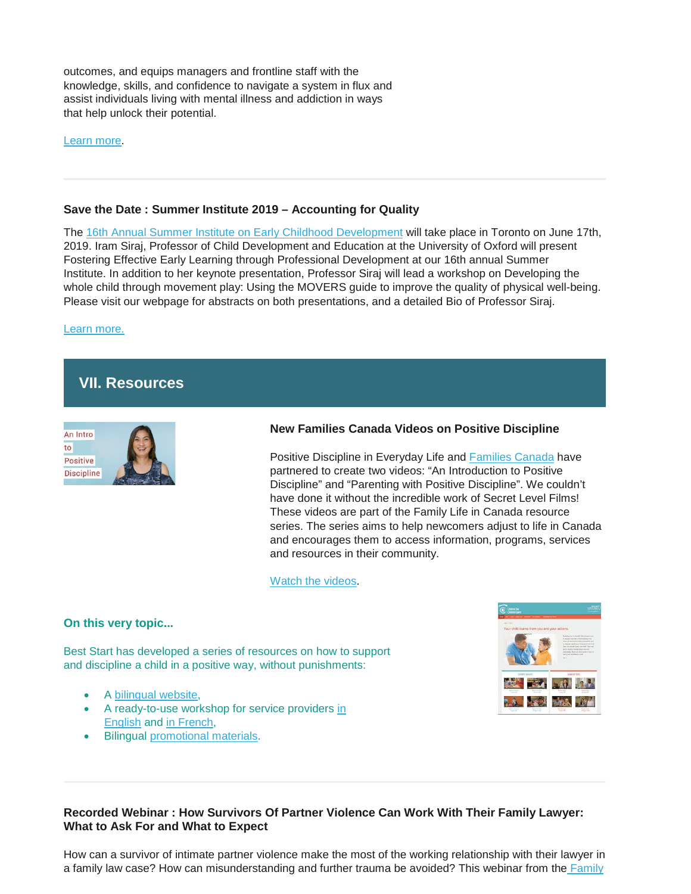outcomes, and equips managers and frontline staff with the knowledge, skills, and confidence to navigate a system in flux and assist individuals living with mental illness and addiction in ways that help unlock their potential.

[Learn more.](https://omssa.com/mental-health-forum.php)

### **Save the Date : Summer Institute 2019 – Accounting for Quality**

The [16th Annual Summer Institute on Early Childhood Development](https://www.oise.utoronto.ca/atkinson/Events/2019_Events/Summer_Institute_2019_-_Keynote_Iram_Siraj.html) will take place in Toronto on June 17th, 2019. Iram Siraj, Professor of Child Development and Education at the University of Oxford will present Fostering Effective Early Learning through Professional Development at our 16th annual Summer Institute. In addition to her keynote presentation, Professor Siraj will lead a workshop on Developing the whole child through movement play: Using the MOVERS guide to improve the quality of physical well-being. Please visit our webpage for abstracts on both presentations, and a detailed Bio of Professor Siraj.

[Learn more.](https://www.oise.utoronto.ca/atkinson/Events/2019_Events/Summer_Institute_2019_-_Keynote_Iram_Siraj.html)

# **VII. Resources**



## **New Families Canada Videos on Positive Discipline**

Positive Discipline in Everyday Life and [Families Canada](https://www.familiescanada.ca/) have partnered to create two videos: "An Introduction to Positive Discipline" and "Parenting with Positive Discipline". We couldn't have done it without the incredible work of Secret Level Films! These videos are part of the Family Life in Canada resource series. The series aims to help newcomers adjust to life in Canada and encourages them to access information, programs, services and resources in their community.

[Watch the videos.](https://familiescanada.us15.list-manage.com/track/click?u=6831b71a588234cc9ab12bd93&id=9c183ca751&e=4f0174fc65)

## **On this very topic...**

Best Start has developed a series of resources on how to support and discipline a child in a positive way, without punishments:

- A [bilingual website,](https://resources.beststart.org/product/k56b-children-see-children-learn-website/)
- A ready-to-use workshop for service providers [in](https://resources.beststart.org/product/k56e-children-see-children-learn-workshop/)  [English](https://resources.beststart.org/product/k56e-children-see-children-learn-workshop/) and [in French,](https://resources.beststart.org/product/k56f-les-enfants-voient-les-enfants-apprennent-atelier-en/)
- Bilingual [promotional materials.](https://resources.beststart.org/product/k69b-children-see-children-learn-poster/)



## **Recorded Webinar : How Survivors Of Partner Violence Can Work With Their Family Lawyer: What to Ask For and What to Expect**

How can a survivor of intimate partner violence make the most of the working relationship with their lawyer in a family law case? How can misunderstanding and further trauma be avoided? This webinar from the Family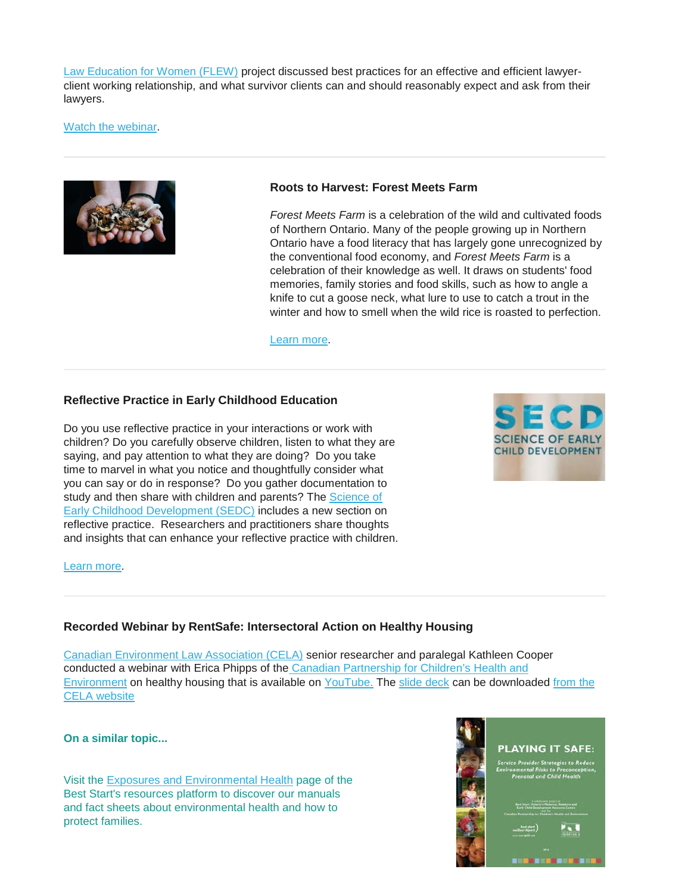[Law Education for Women \(FLEW\)](https://onefamilylaw.ca/) project discussed best practices for an effective and efficient lawyerclient working relationship, and what survivor clients can and should reasonably expect and ask from their lawyers.

[Watch the webinar.](https://yourlegalrights.on.ca/webinar/how-survivors-partner-violence-can-work-their-family-lawyer-what-ask-and-what-expect)



### **Roots to Harvest: Forest Meets Farm**

*Forest Meets Farm* is a celebration of the wild and cultivated foods of Northern Ontario. Many of the people growing up in Northern Ontario have a food literacy that has largely gone unrecognized by the conventional food economy, and *Forest Meets Farm* is a celebration of their knowledge as well. It draws on students' food memories, family stories and food skills, such as how to angle a knife to cut a goose neck, what lure to use to catch a trout in the winter and how to smell when the wild rice is roasted to perfection.

[Learn more.](http://www.rootstoharvest.org/forest-meets-farm.html)

## **Reflective Practice in Early Childhood Education**

Do you use reflective practice in your interactions or work with children? Do you carefully observe children, listen to what they are saying, and pay attention to what they are doing? Do you take time to marvel in what you notice and thoughtfully consider what you can say or do in response? Do you gather documentation to study and then share with children and parents? The Science of [Early Childhood Development \(SEDC\)](https://www.scienceofecd.com/) includes a new section on reflective practice. Researchers and practitioners share thoughts and insights that can enhance your reflective practice with children.



#### [Learn more.](https://www.scienceofecd.com/pages/secd-emessage)

#### **Recorded Webinar by RentSafe: Intersectoral Action on Healthy Housing**

[Canadian Environment Law Association \(CELA\)](http://www.cela.ca/) senior researcher and paralegal Kathleen Cooper conducted a webinar with Erica Phipps of the [Canadian Partnership for Children's](http://www.healthyenvironmentforkids.ca/) Health and [Environment](http://www.healthyenvironmentforkids.ca/) on healthy housing that is available on [YouTube.](https://cela.us5.list-manage.com/track/click?u=061b2906efcd710becc433e36&id=41d08a0f03&e=6af087ad84) The [slide deck](https://cela.us5.list-manage.com/track/click?u=061b2906efcd710becc433e36&id=2e0329a1b6&e=6af087ad84) can be downloaded from the [CELA website](http://www.cela.ca/publications/rentsafe-intersectoral-action-healthy-housing-tenants-low-income-aclco-webinar)

#### **On a similar topic...**

Visit the [Exposures and Environmental Health](https://resources.beststart.org/product-category/resources/environmental-health/) page of the Best Start's resources platform to discover our manuals and fact sheets about environmental health and how to protect families.

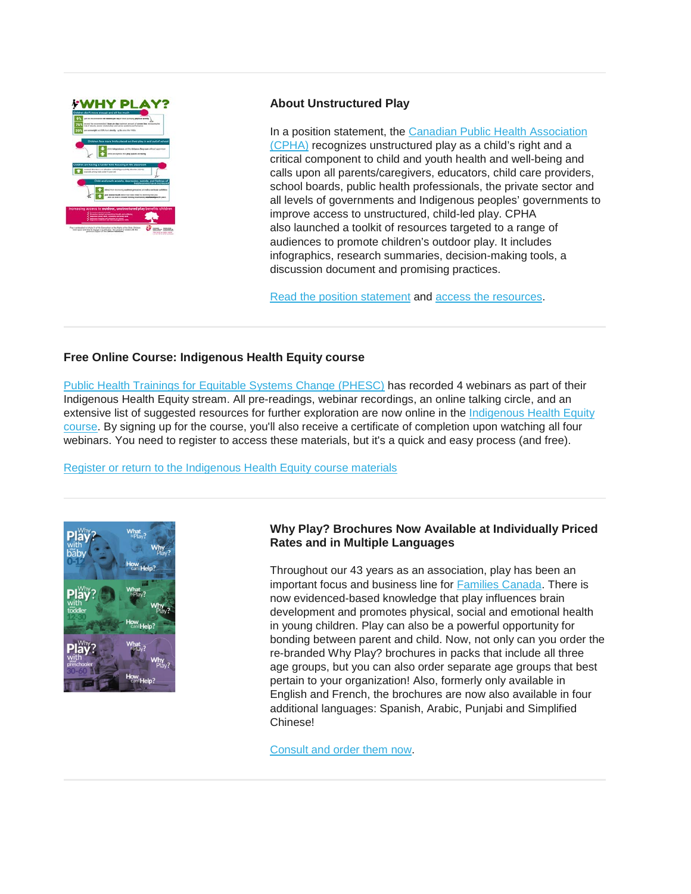

## **About Unstructured Play**

In a position statement, the [Canadian Public Health Association](https://www.cpha.ca/)  [\(CPHA\)](https://www.cpha.ca/) recognizes unstructured play as a child's right and a critical component to child and youth health and well-being and calls upon all parents/caregivers, educators, child care providers, school boards, public health professionals, the private sector and all levels of governments and Indigenous peoples' governments to improve access to unstructured, child-led play. CPHA also launched a toolkit of resources targeted to a range of audiences to promote children's outdoor play. It includes infographics, research summaries, decision-making tools, a discussion document and promising practices.

[Read the position statement](https://www.cpha.ca/sites/default/files/uploads/policy/positionstatements/play-positionstatement-e.pdf) and [access the resources.](https://www.cpha.ca/unstructured-play)

## **Free Online Course: Indigenous Health Equity course**

[Public Health Trainings for Equitable Systems Change \(PHESC\)](https://phesc.ca-central.catalog.canvaslms.com/) has recorded 4 webinars as part of their Indigenous Health Equity stream. All pre-readings, webinar recordings, an online talking circle, and an extensive list of suggested resources for further exploration are now online in the Indigenous Health Equity [course.](https://phesc.ca-central.catalog.canvaslms.com/courses/indigenous-health-equity) By signing up for the course, you'll also receive a certificate of completion upon watching all four webinars. You need to register to access these materials, but it's a quick and easy process (and free).

[Register or return to the Indigenous Health Equity course materials](https://utoronto.us19.list-manage.com/track/click?u=90989609f245ac5cf3326343a&id=90a913d135&e=361bf32a49)



## **Why Play? Brochures Now Available at Individually Priced Rates and in Multiple Languages**

Throughout our 43 years as an association, play has been an important focus and business line for [Families Canada.](https://www.familiescanada.ca/) There is now evidenced-based knowledge that play influences brain development and promotes physical, social and emotional health in young children. Play can also be a powerful opportunity for bonding between parent and child. Now, not only can you order the re-branded Why Play? brochures in packs that include all three age groups, but you can also order separate age groups that best pertain to your organization! Also, formerly only available in English and French, the brochures are now also available in four additional languages: Spanish, Arabic, Punjabi and Simplified Chinese!

[Consult and order them now.](https://familiescanada.us15.list-manage.com/track/click?u=6831b71a588234cc9ab12bd93&id=f04560368c&e=4f0174fc65)